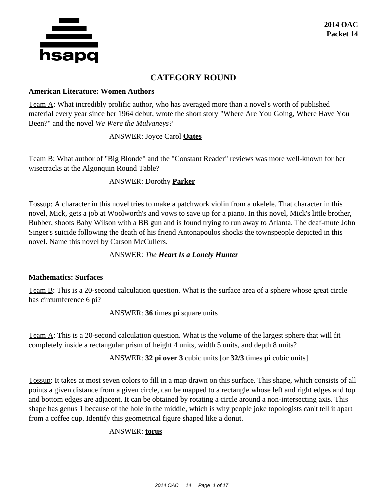

# **CATEGORY ROUND**

#### **American Literature: Women Authors**

Team A: What incredibly prolific author, who has averaged more than a novel's worth of published material every year since her 1964 debut, wrote the short story "Where Are You Going, Where Have You Been?" and the novel *We Were the Mulvaneys?*

### ANSWER: Joyce Carol **Oates**

Team B: What author of "Big Blonde" and the "Constant Reader" reviews was more well-known for her wisecracks at the Algonquin Round Table?

## ANSWER: Dorothy **Parker**

Tossup: A character in this novel tries to make a patchwork violin from a ukelele. That character in this novel, Mick, gets a job at Woolworth's and vows to save up for a piano. In this novel, Mick's little brother, Bubber, shoots Baby Wilson with a BB gun and is found trying to run away to Atlanta. The deaf-mute John Singer's suicide following the death of his friend Antonapoulos shocks the townspeople depicted in this novel. Name this novel by Carson McCullers.

### ANSWER: *The Heart Is a Lonely Hunter*

### **Mathematics: Surfaces**

Team B: This is a 20-second calculation question. What is the surface area of a sphere whose great circle has circumference 6 pi?

ANSWER: **36** times **pi** square units

Team A: This is a 20-second calculation question. What is the volume of the largest sphere that will fit completely inside a rectangular prism of height 4 units, width 5 units, and depth 8 units?

ANSWER: **32 pi over 3** cubic units [or **32/3** times **pi** cubic units]

Tossup: It takes at most seven colors to fill in a map drawn on this surface. This shape, which consists of all points a given distance from a given circle, can be mapped to a rectangle whose left and right edges and top and bottom edges are adjacent. It can be obtained by rotating a circle around a non-intersecting axis. This shape has genus 1 because of the hole in the middle, which is why people joke topologists can't tell it apart from a coffee cup. Identify this geometrical figure shaped like a donut.

# ANSWER: **torus**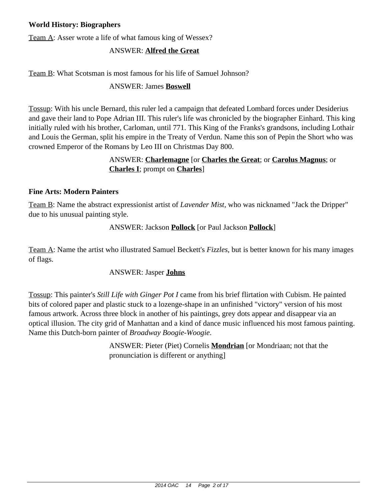## **World History: Biographers**

Team A: Asser wrote a life of what famous king of Wessex?

## ANSWER: **Alfred the Great**

Team B: What Scotsman is most famous for his life of Samuel Johnson?

## ANSWER: James **Boswell**

Tossup: With his uncle Bernard, this ruler led a campaign that defeated Lombard forces under Desiderius and gave their land to Pope Adrian III. This ruler's life was chronicled by the biographer Einhard. This king initially ruled with his brother, Carloman, until 771. This King of the Franks's grandsons, including Lothair and Louis the German, split his empire in the Treaty of Verdun. Name this son of Pepin the Short who was crowned Emperor of the Romans by Leo III on Christmas Day 800.

# ANSWER: **Charlemagne** [or **Charles the Great**; or **Carolus Magnus**; or **Charles I**; prompt on **Charles**]

### **Fine Arts: Modern Painters**

Team B: Name the abstract expressionist artist of *Lavender Mist,* who was nicknamed "Jack the Dripper" due to his unusual painting style.

## ANSWER: Jackson **Pollock** [or Paul Jackson **Pollock**]

Team A: Name the artist who illustrated Samuel Beckett's *Fizzles,* but is better known for his many images of flags.

### ANSWER: Jasper **Johns**

Tossup: This painter's *Still Life with Ginger Pot I* came from his brief flirtation with Cubism. He painted bits of colored paper and plastic stuck to a lozenge-shape in an unfinished "victory" version of his most famous artwork. Across three block in another of his paintings, grey dots appear and disappear via an optical illusion. The city grid of Manhattan and a kind of dance music influenced his most famous painting. Name this Dutch-born painter of *Broadway Boogie-Woogie*.

> ANSWER: Pieter (Piet) Cornelis **Mondrian** [or Mondriaan; not that the pronunciation is different or anything]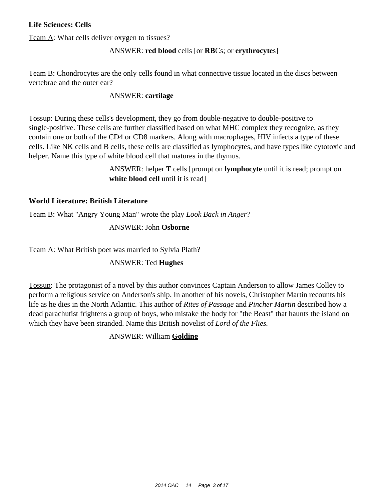## **Life Sciences: Cells**

Team A: What cells deliver oxygen to tissues?

# ANSWER: **red blood** cells [or **RB**Cs; or **erythrocyte**s]

Team B: Chondrocytes are the only cells found in what connective tissue located in the discs between vertebrae and the outer ear?

## ANSWER: **cartilage**

Tossup: During these cells's development, they go from double-negative to double-positive to single-positive. These cells are further classified based on what MHC complex they recognize, as they contain one or both of the CD4 or CD8 markers. Along with macrophages, HIV infects a type of these cells. Like NK cells and B cells, these cells are classified as lymphocytes, and have types like cytotoxic and helper. Name this type of white blood cell that matures in the thymus.

> ANSWER: helper **T** cells [prompt on **lymphocyte** until it is read; prompt on **white blood cell** until it is read]

## **World Literature: British Literature**

Team B: What "Angry Young Man" wrote the play *Look Back in Anger*?

ANSWER: John **Osborne**

Team A: What British poet was married to Sylvia Plath?

# ANSWER: Ted **Hughes**

Tossup: The protagonist of a novel by this author convinces Captain Anderson to allow James Colley to perform a religious service on Anderson's ship. In another of his novels, Christopher Martin recounts his life as he dies in the North Atlantic. This author of *Rites of Passage* and *Pincher Martin* described how a dead parachutist frightens a group of boys, who mistake the body for "the Beast" that haunts the island on which they have been stranded. Name this British novelist of *Lord of the Flies.*

ANSWER: William **Golding**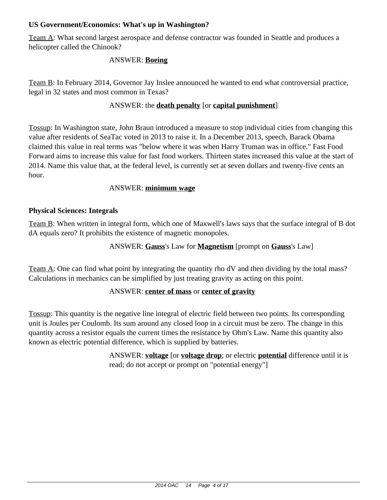## **US Government/Economics: What's up in Washington?**

Team A: What second largest aerospace and defense contractor was founded in Seattle and produces a helicopter called the Chinook?

## ANSWER: **Boeing**

Team B: In February 2014, Governor Jay Inslee announced he wanted to end what controversial practice, legal in 32 states and most common in Texas?

# ANSWER: the **death penalty** [or **capital punishment**]

Tossup: In Washington state, John Braun introduced a measure to stop individual cities from changing this value after residents of SeaTac voted in 2013 to raise it. In a December 2013, speech, Barack Obama claimed this value in real terms was "below where it was when Harry Truman was in office." Fast Food Forward aims to increase this value for fast food workers. Thirteen states increased this value at the start of 2014. Name this value that, at the federal level, is currently set at seven dollars and twenty-five cents an hour.

### ANSWER: **minimum wage**

### **Physical Sciences: Integrals**

Team B: When written in integral form, which one of Maxwell's laws says that the surface integral of B dot dA equals zero? It prohibits the existence of magnetic monopoles.

## ANSWER: **Gauss**'s Law for **Magnetism** [prompt on **Gauss**'s Law]

Team A: One can find what point by integrating the quantity rho dV and then dividing by the total mass? Calculations in mechanics can be simplified by just treating gravity as acting on this point.

### ANSWER: **center of mass** or **center of gravity**

Tossup: This quantity is the negative line integral of electric field between two points. Its corresponding unit is Joules per Coulomb. Its sum around any closed loop in a circuit must be zero. The change in this quantity across a resistor equals the current times the resistance by Ohm's Law. Name this quantity also known as electric potential difference, which is supplied by batteries.

> ANSWER: **voltage** [or **voltage drop**; or electric **potential** difference until it is read; do not accept or prompt on "potential energy"]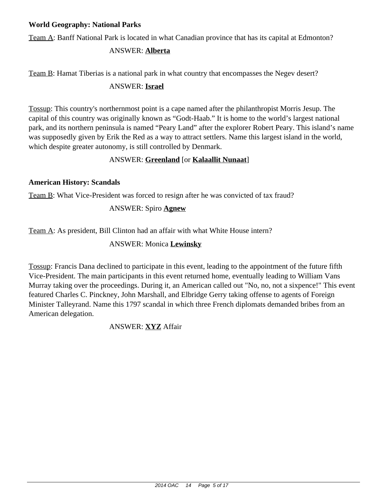## **World Geography: National Parks**

Team A: Banff National Park is located in what Canadian province that has its capital at Edmonton?

## ANSWER: **Alberta**

Team B: Hamat Tiberias is a national park in what country that encompasses the Negev desert?

## ANSWER: **Israel**

Tossup: This country's northernmost point is a cape named after the philanthropist Morris Jesup. The capital of this country was originally known as "Godt-Haab." It is home to the world's largest national park, and its northern peninsula is named "Peary Land" after the explorer Robert Peary. This island's name was supposedly given by Erik the Red as a way to attract settlers. Name this largest island in the world, which despite greater autonomy, is still controlled by Denmark.

# ANSWER: **Greenland** [or **Kalaallit Nunaat**]

## **American History: Scandals**

Team B: What Vice-President was forced to resign after he was convicted of tax fraud?

# ANSWER: Spiro **Agnew**

Team A: As president, Bill Clinton had an affair with what White House intern?

# ANSWER: Monica **Lewinsky**

Tossup: Francis Dana declined to participate in this event, leading to the appointment of the future fifth Vice-President. The main participants in this event returned home, eventually leading to William Vans Murray taking over the proceedings. During it, an American called out "No, no, not a sixpence!" This event featured Charles C. Pinckney, John Marshall, and Elbridge Gerry taking offense to agents of Foreign Minister Talleyrand. Name this 1797 scandal in which three French diplomats demanded bribes from an American delegation.

ANSWER: **XYZ** Affair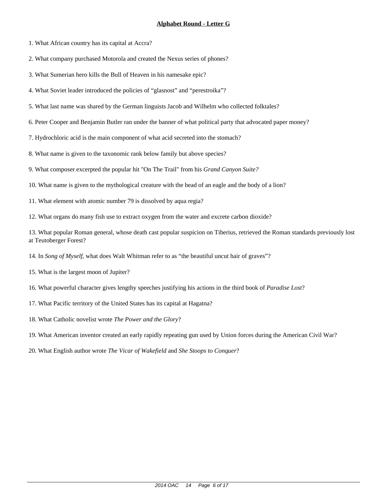1. What African country has its capital at Accra?

2. What company purchased Motorola and created the Nexus series of phones?

3. What Sumerian hero kills the Bull of Heaven in his namesake epic?

4. What Soviet leader introduced the policies of "glasnost" and "perestroika"?

5. What last name was shared by the German linguists Jacob and Wilhelm who collected folktales?

6. Peter Cooper and Benjamin Butler ran under the banner of what political party that advocated paper money?

7. Hydrochloric acid is the main component of what acid secreted into the stomach?

8. What name is given to the taxonomic rank below family but above species?

9. What composer excerpted the popular hit "On The Trail" from his *Grand Canyon Suite?*

10. What name is given to the mythological creature with the head of an eagle and the body of a lion?

11. What element with atomic number 79 is dissolved by aqua regia?

12. What organs do many fish use to extract oxygen from the water and excrete carbon dioxide?

13. What popular Roman general, whose death cast popular suspicion on Tiberius, retrieved the Roman standards previously lost at Teutoberger Forest?

14. In *Song of Myself,* what does Walt Whitman refer to as "the beautiful uncut hair of graves"?

15. What is the largest moon of Jupiter?

16. What powerful character gives lengthy speeches justifying his actions in the third book of *Paradise Lost*?

17. What Pacific territory of the United States has its capital at Hagatna?

18. What Catholic novelist wrote *The Power and the Glory*?

19. What American inventor created an early rapidly repeating gun used by Union forces during the American Civil War?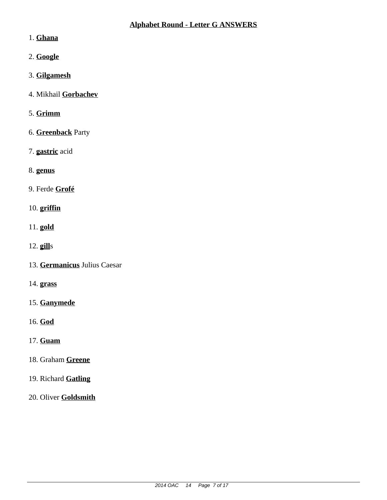# 1. **Ghana**

- 2. **Google**
- 3. **Gilgamesh**
- 4. Mikhail **Gorbachev**
- 5. **Grimm**
- 6. **Greenback** Party
- 7. **gastric** acid
- 8. **genus**
- 9. Ferde **Grofé**
- 10. **griffin**
- 11. **gold**
- 12. **gill**s
- 13. **Germanicus** Julius Caesar
- 14. **grass**
- 15. **Ganymede**
- 16. **God**
- 17. **Guam**
- 18. Graham **Greene**
- 19. Richard **Gatling**
- 20. Oliver **Goldsmith**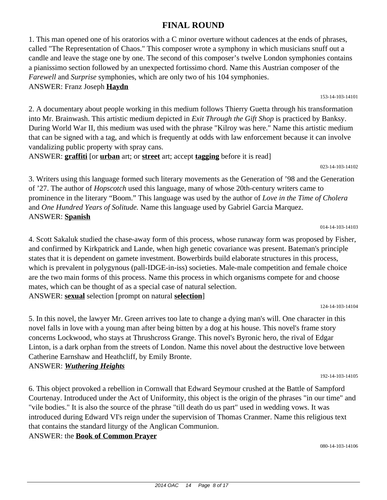# **FINAL ROUND**

1. This man opened one of his oratorios with a C minor overture without cadences at the ends of phrases, called "The Representation of Chaos." This composer wrote a symphony in which musicians snuff out a candle and leave the stage one by one. The second of this composer's twelve London symphonies contains a pianissimo section followed by an unexpected fortissimo chord. Name this Austrian composer of the *Farewell* and *Surprise* symphonies, which are only two of his 104 symphonies. ANSWER: Franz Joseph **Haydn**

153-14-103-14101

2. A documentary about people working in this medium follows Thierry Guetta through his transformation into Mr. Brainwash. This artistic medium depicted in *Exit Through the Gift Shop* is practiced by Banksy. During World War II, this medium was used with the phrase "Kilroy was here." Name this artistic medium that can be signed with a tag, and which is frequently at odds with law enforcement because it can involve vandalizing public property with spray cans.

ANSWER: **graffiti** [or **urban** art; or **street** art; accept **tagging** before it is read]

023-14-103-14102

3. Writers using this language formed such literary movements as the Generation of '98 and the Generation of '27. The author of *Hopscotch* used this language, many of whose 20th-century writers came to prominence in the literary "Boom." This language was used by the author of *Love in the Time of Cholera* and *One Hundred Years of Solitude.* Name this language used by Gabriel Garcia Marquez. ANSWER: **Spanish**

014-14-103-14103

4. Scott Sakaluk studied the chase-away form of this process, whose runaway form was proposed by Fisher, and confirmed by Kirkpatrick and Lande, when high genetic covariance was present. Bateman's principle states that it is dependent on gamete investment. Bowerbirds build elaborate structures in this process, which is prevalent in polygynous (pall-IDGE-in-iss) societies. Male-male competition and female choice are the two main forms of this process. Name this process in which organisms compete for and choose mates, which can be thought of as a special case of natural selection. ANSWER: **sexual** selection [prompt on natural **selection**]

124-14-103-14104

5. In this novel, the lawyer Mr. Green arrives too late to change a dying man's will. One character in this novel falls in love with a young man after being bitten by a dog at his house. This novel's frame story concerns Lockwood, who stays at Thrushcross Grange. This novel's Byronic hero, the rival of Edgar Linton, is a dark orphan from the streets of London. Name this novel about the destructive love between Catherine Earnshaw and Heathcliff, by Emily Bronte. ANSWER: *Wuthering Heights*

192-14-103-14105

6. This object provoked a rebellion in Cornwall that Edward Seymour crushed at the Battle of Sampford Courtenay. Introduced under the Act of Uniformity, this object is the origin of the phrases "in our time" and "vile bodies." It is also the source of the phrase "till death do us part" used in wedding vows. It was introduced during Edward VI's reign under the supervision of Thomas Cranmer. Name this religious text that contains the standard liturgy of the Anglican Communion. ANSWER: the **Book of Common Prayer**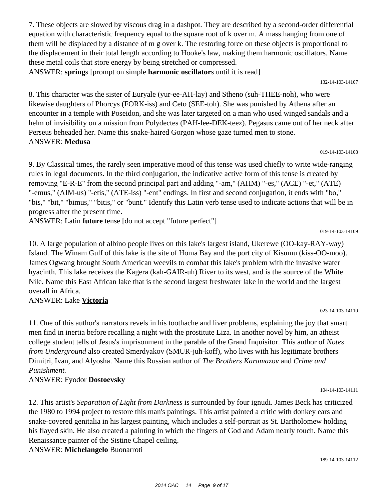7. These objects are slowed by viscous drag in a dashpot. They are described by a second-order differential equation with characteristic frequency equal to the square root of k over m. A mass hanging from one of them will be displaced by a distance of m g over k. The restoring force on these objects is proportional to the displacement in their total length according to Hooke's law, making them harmonic oscillators. Name these metal coils that store energy by being stretched or compressed.

ANSWER: **spring**s [prompt on simple **harmonic oscillator**s until it is read]

132-14-103-14107

8. This character was the sister of Euryale (yur-ee-AH-lay) and Stheno (suh-THEE-noh), who were likewise daughters of Phorcys (FORK-iss) and Ceto (SEE-toh). She was punished by Athena after an encounter in a temple with Poseidon, and she was later targeted on a man who used winged sandals and a helm of invisibility on a mission from Polydectes (PAH-lee-DEK-teez). Pegasus came out of her neck after Perseus beheaded her. Name this snake-haired Gorgon whose gaze turned men to stone. ANSWER: **Medusa**

019-14-103-14108

9. By Classical times, the rarely seen imperative mood of this tense was used chiefly to write wide-ranging rules in legal documents. In the third conjugation, the indicative active form of this tense is created by removing "E-R-E" from the second principal part and adding "-am," (AHM) "-es," (ACE) "-et," (ATE) "-emus," (AIM-us) "-etis," (ATE-iss) "-ent" endings. In first and second conjugation, it ends with "bo," "bis," "bit," "bimus," "bitis," or "bunt." Identify this Latin verb tense used to indicate actions that will be in progress after the present time.

ANSWER: Latin **future** tense [do not accept "future perfect"]

019-14-103-14109

023-14-103-14110

10. A large population of albino people lives on this lake's largest island, Ukerewe (OO-kay-RAY-way) Island. The Winam Gulf of this lake is the site of Homa Bay and the port city of Kisumu (kiss-OO-moo). James Ogwang brought South American weevils to combat this lake's problem with the invasive water hyacinth. This lake receives the Kagera (kah-GAIR-uh) River to its west, and is the source of the White Nile. Name this East African lake that is the second largest freshwater lake in the world and the largest overall in Africa.

# ANSWER: Lake **Victoria**

11. One of this author's narrators revels in his toothache and liver problems, explaining the joy that smart men find in inertia before recalling a night with the prostitute Liza. In another novel by him, an atheist college student tells of Jesus's imprisonment in the parable of the Grand Inquisitor. This author of *Notes from Underground* also created Smerdyakov (SMUR-juh-koff), who lives with his legitimate brothers Dimitri, Ivan, and Alyosha. Name this Russian author of *The Brothers Karamazov* and *Crime and Punishment.*

# ANSWER: Fyodor **Dostoevsky**

12. This artist's *Separation of Light from Darkness* is surrounded by four ignudi. James Beck has criticized the 1980 to 1994 project to restore this man's paintings. This artist painted a critic with donkey ears and snake-covered genitalia in his largest painting, which includes a self-portrait as St. Bartholomew holding his flayed skin. He also created a painting in which the fingers of God and Adam nearly touch. Name this Renaissance painter of the Sistine Chapel ceiling.

ANSWER: **Michelangelo** Buonarroti

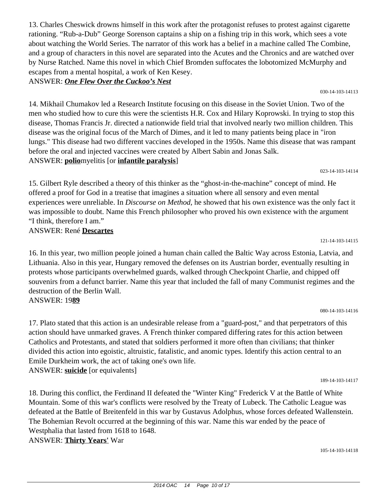13. Charles Cheswick drowns himself in this work after the protagonist refuses to protest against cigarette rationing. "Rub-a-Dub" George Sorenson captains a ship on a fishing trip in this work, which sees a vote about watching the World Series. The narrator of this work has a belief in a machine called The Combine, and a group of characters in this novel are separated into the Acutes and the Chronics and are watched over by Nurse Ratched. Name this novel in which Chief Bromden suffocates the lobotomized McMurphy and escapes from a mental hospital, a work of Ken Kesey.

#### ANSWER: *One Flew Over the Cuckoo's Nest*

14. Mikhail Chumakov led a Research Institute focusing on this disease in the Soviet Union. Two of the men who studied how to cure this were the scientists H.R. Cox and Hilary Koprowski. In trying to stop this disease, Thomas Francis Jr. directed a nationwide field trial that involved nearly two million children. This disease was the original focus of the March of Dimes, and it led to many patients being place in "iron lungs." This disease had two different vaccines developed in the 1950s. Name this disease that was rampant before the oral and injected vaccines were created by Albert Sabin and Jonas Salk. ANSWER: **polio**myelitis [or **infantile paralysis**]

023-14-103-14114

15. Gilbert Ryle described a theory of this thinker as the "ghost-in-the-machine" concept of mind. He offered a proof for God in a treatise that imagines a situation where all sensory and even mental experiences were unreliable. In *Discourse on Method,* he showed that his own existence was the only fact it was impossible to doubt. Name this French philosopher who proved his own existence with the argument "I think, therefore I am."

ANSWER: René **Descartes**

16. In this year, two million people joined a human chain called the Baltic Way across Estonia, Latvia, and Lithuania. Also in this year, Hungary removed the defenses on its Austrian border, eventually resulting in protests whose participants overwhelmed guards, walked through Checkpoint Charlie, and chipped off souvenirs from a defunct barrier. Name this year that included the fall of many Communist regimes and the destruction of the Berlin Wall. ANSWER: 19**89**

080-14-103-14116

121-14-103-14115

17. Plato stated that this action is an undesirable release from a "guard-post," and that perpetrators of this action should have unmarked graves. A French thinker compared differing rates for this action between Catholics and Protestants, and stated that soldiers performed it more often than civilians; that thinker divided this action into egoistic, altruistic, fatalistic, and anomic types. Identify this action central to an Emile Durkheim work, the act of taking one's own life. ANSWER: **suicide** [or equivalents]

189-14-103-14117

18. During this conflict, the Ferdinand II defeated the "Winter King" Frederick V at the Battle of White Mountain. Some of this war's conflicts were resolved by the Treaty of Lubeck. The Catholic League was defeated at the Battle of Breitenfeld in this war by Gustavus Adolphus, whose forces defeated Wallenstein. The Bohemian Revolt occurred at the beginning of this war. Name this war ended by the peace of Westphalia that lasted from 1618 to 1648. ANSWER: **Thirty Years'** War

105-14-103-14118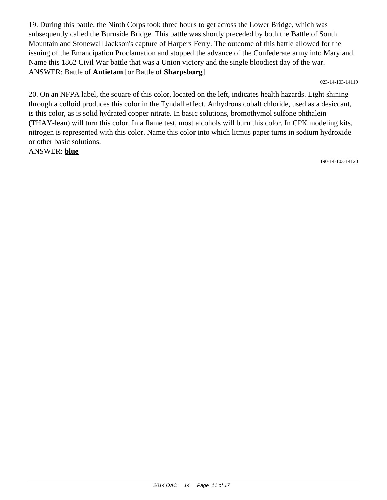19. During this battle, the Ninth Corps took three hours to get across the Lower Bridge, which was subsequently called the Burnside Bridge. This battle was shortly preceded by both the Battle of South Mountain and Stonewall Jackson's capture of Harpers Ferry. The outcome of this battle allowed for the issuing of the Emancipation Proclamation and stopped the advance of the Confederate army into Maryland. Name this 1862 Civil War battle that was a Union victory and the single bloodiest day of the war. ANSWER: Battle of **Antietam** [or Battle of **Sharpsburg**]

023-14-103-14119

20. On an NFPA label, the square of this color, located on the left, indicates health hazards. Light shining through a colloid produces this color in the Tyndall effect. Anhydrous cobalt chloride, used as a desiccant, is this color, as is solid hydrated copper nitrate. In basic solutions, bromothymol sulfone phthalein (THAY-lean) will turn this color. In a flame test, most alcohols will burn this color. In CPK modeling kits, nitrogen is represented with this color. Name this color into which litmus paper turns in sodium hydroxide or other basic solutions.

ANSWER: **blue**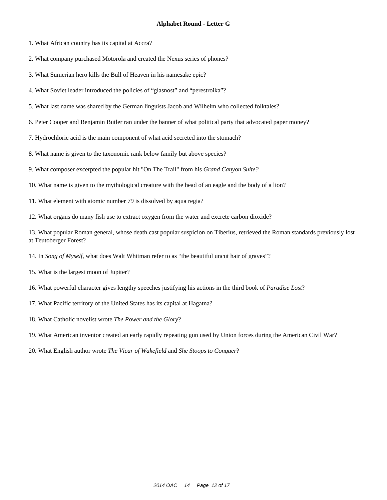1. What African country has its capital at Accra?

2. What company purchased Motorola and created the Nexus series of phones?

3. What Sumerian hero kills the Bull of Heaven in his namesake epic?

4. What Soviet leader introduced the policies of "glasnost" and "perestroika"?

5. What last name was shared by the German linguists Jacob and Wilhelm who collected folktales?

6. Peter Cooper and Benjamin Butler ran under the banner of what political party that advocated paper money?

7. Hydrochloric acid is the main component of what acid secreted into the stomach?

8. What name is given to the taxonomic rank below family but above species?

9. What composer excerpted the popular hit "On The Trail" from his *Grand Canyon Suite?*

10. What name is given to the mythological creature with the head of an eagle and the body of a lion?

11. What element with atomic number 79 is dissolved by aqua regia?

12. What organs do many fish use to extract oxygen from the water and excrete carbon dioxide?

13. What popular Roman general, whose death cast popular suspicion on Tiberius, retrieved the Roman standards previously lost at Teutoberger Forest?

14. In *Song of Myself,* what does Walt Whitman refer to as "the beautiful uncut hair of graves"?

15. What is the largest moon of Jupiter?

16. What powerful character gives lengthy speeches justifying his actions in the third book of *Paradise Lost*?

17. What Pacific territory of the United States has its capital at Hagatna?

18. What Catholic novelist wrote *The Power and the Glory*?

19. What American inventor created an early rapidly repeating gun used by Union forces during the American Civil War?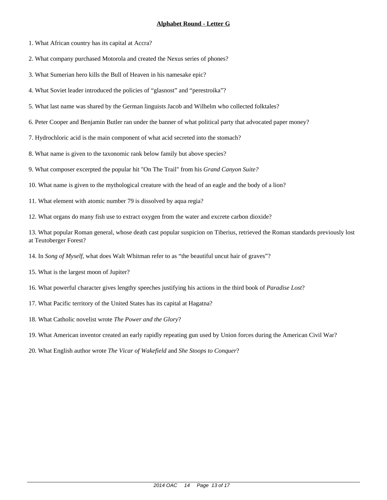1. What African country has its capital at Accra?

2. What company purchased Motorola and created the Nexus series of phones?

3. What Sumerian hero kills the Bull of Heaven in his namesake epic?

4. What Soviet leader introduced the policies of "glasnost" and "perestroika"?

5. What last name was shared by the German linguists Jacob and Wilhelm who collected folktales?

6. Peter Cooper and Benjamin Butler ran under the banner of what political party that advocated paper money?

7. Hydrochloric acid is the main component of what acid secreted into the stomach?

8. What name is given to the taxonomic rank below family but above species?

9. What composer excerpted the popular hit "On The Trail" from his *Grand Canyon Suite?*

10. What name is given to the mythological creature with the head of an eagle and the body of a lion?

11. What element with atomic number 79 is dissolved by aqua regia?

12. What organs do many fish use to extract oxygen from the water and excrete carbon dioxide?

13. What popular Roman general, whose death cast popular suspicion on Tiberius, retrieved the Roman standards previously lost at Teutoberger Forest?

14. In *Song of Myself,* what does Walt Whitman refer to as "the beautiful uncut hair of graves"?

15. What is the largest moon of Jupiter?

16. What powerful character gives lengthy speeches justifying his actions in the third book of *Paradise Lost*?

17. What Pacific territory of the United States has its capital at Hagatna?

18. What Catholic novelist wrote *The Power and the Glory*?

19. What American inventor created an early rapidly repeating gun used by Union forces during the American Civil War?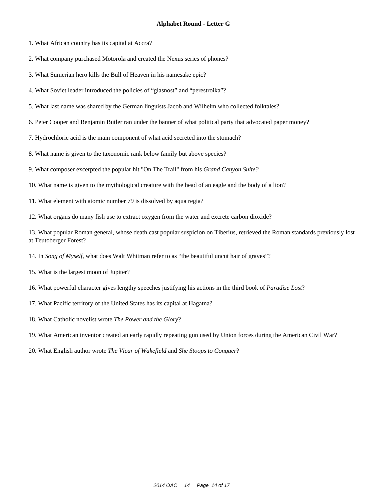1. What African country has its capital at Accra?

2. What company purchased Motorola and created the Nexus series of phones?

3. What Sumerian hero kills the Bull of Heaven in his namesake epic?

4. What Soviet leader introduced the policies of "glasnost" and "perestroika"?

5. What last name was shared by the German linguists Jacob and Wilhelm who collected folktales?

6. Peter Cooper and Benjamin Butler ran under the banner of what political party that advocated paper money?

7. Hydrochloric acid is the main component of what acid secreted into the stomach?

8. What name is given to the taxonomic rank below family but above species?

9. What composer excerpted the popular hit "On The Trail" from his *Grand Canyon Suite?*

10. What name is given to the mythological creature with the head of an eagle and the body of a lion?

11. What element with atomic number 79 is dissolved by aqua regia?

12. What organs do many fish use to extract oxygen from the water and excrete carbon dioxide?

13. What popular Roman general, whose death cast popular suspicion on Tiberius, retrieved the Roman standards previously lost at Teutoberger Forest?

14. In *Song of Myself,* what does Walt Whitman refer to as "the beautiful uncut hair of graves"?

15. What is the largest moon of Jupiter?

16. What powerful character gives lengthy speeches justifying his actions in the third book of *Paradise Lost*?

17. What Pacific territory of the United States has its capital at Hagatna?

18. What Catholic novelist wrote *The Power and the Glory*?

19. What American inventor created an early rapidly repeating gun used by Union forces during the American Civil War?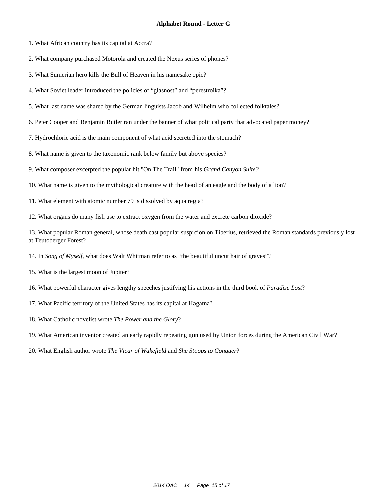1. What African country has its capital at Accra?

2. What company purchased Motorola and created the Nexus series of phones?

3. What Sumerian hero kills the Bull of Heaven in his namesake epic?

4. What Soviet leader introduced the policies of "glasnost" and "perestroika"?

5. What last name was shared by the German linguists Jacob and Wilhelm who collected folktales?

6. Peter Cooper and Benjamin Butler ran under the banner of what political party that advocated paper money?

7. Hydrochloric acid is the main component of what acid secreted into the stomach?

8. What name is given to the taxonomic rank below family but above species?

9. What composer excerpted the popular hit "On The Trail" from his *Grand Canyon Suite?*

10. What name is given to the mythological creature with the head of an eagle and the body of a lion?

11. What element with atomic number 79 is dissolved by aqua regia?

12. What organs do many fish use to extract oxygen from the water and excrete carbon dioxide?

13. What popular Roman general, whose death cast popular suspicion on Tiberius, retrieved the Roman standards previously lost at Teutoberger Forest?

14. In *Song of Myself,* what does Walt Whitman refer to as "the beautiful uncut hair of graves"?

15. What is the largest moon of Jupiter?

16. What powerful character gives lengthy speeches justifying his actions in the third book of *Paradise Lost*?

17. What Pacific territory of the United States has its capital at Hagatna?

18. What Catholic novelist wrote *The Power and the Glory*?

19. What American inventor created an early rapidly repeating gun used by Union forces during the American Civil War?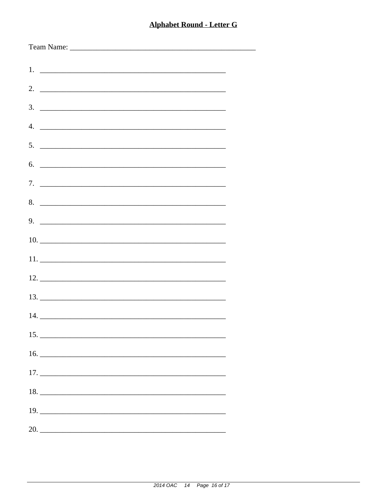| $\overline{4}$ .              |
|-------------------------------|
| $5.$ $\overline{\phantom{a}}$ |
| 6.                            |
|                               |
| 8.                            |
| $9.$ $\overline{\phantom{a}}$ |
|                               |
|                               |
|                               |
|                               |
|                               |
| 15.                           |
|                               |
|                               |
| 18.                           |
|                               |
| 20.                           |